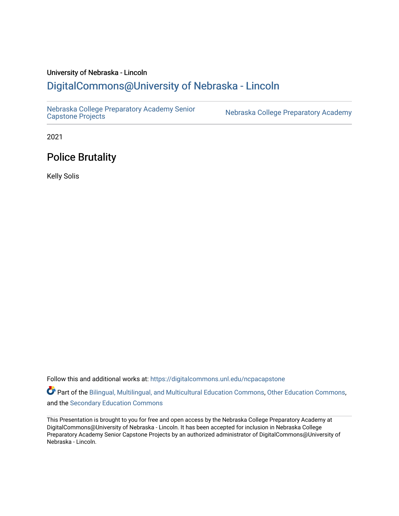#### University of Nebraska - Lincoln [DigitalCommons@University of Nebraska - Lincoln](https://digitalcommons.unl.edu/)

[Nebraska College Preparatory Academy Senior](https://digitalcommons.unl.edu/ncpacapstone) 

Nebraska College Preparatory Academy

2021

#### Police Brutality

Kelly Solis

Follow this and additional works at: [https://digitalcommons.unl.edu/ncpacapstone](https://digitalcommons.unl.edu/ncpacapstone?utm_source=digitalcommons.unl.edu%2Fncpacapstone%2F214&utm_medium=PDF&utm_campaign=PDFCoverPages) 

Part of the [Bilingual, Multilingual, and Multicultural Education Commons,](https://network.bepress.com/hgg/discipline/785?utm_source=digitalcommons.unl.edu%2Fncpacapstone%2F214&utm_medium=PDF&utm_campaign=PDFCoverPages) [Other Education Commons,](https://network.bepress.com/hgg/discipline/811?utm_source=digitalcommons.unl.edu%2Fncpacapstone%2F214&utm_medium=PDF&utm_campaign=PDFCoverPages) and the [Secondary Education Commons](https://network.bepress.com/hgg/discipline/1382?utm_source=digitalcommons.unl.edu%2Fncpacapstone%2F214&utm_medium=PDF&utm_campaign=PDFCoverPages) 

This Presentation is brought to you for free and open access by the Nebraska College Preparatory Academy at DigitalCommons@University of Nebraska - Lincoln. It has been accepted for inclusion in Nebraska College Preparatory Academy Senior Capstone Projects by an authorized administrator of DigitalCommons@University of Nebraska - Lincoln.